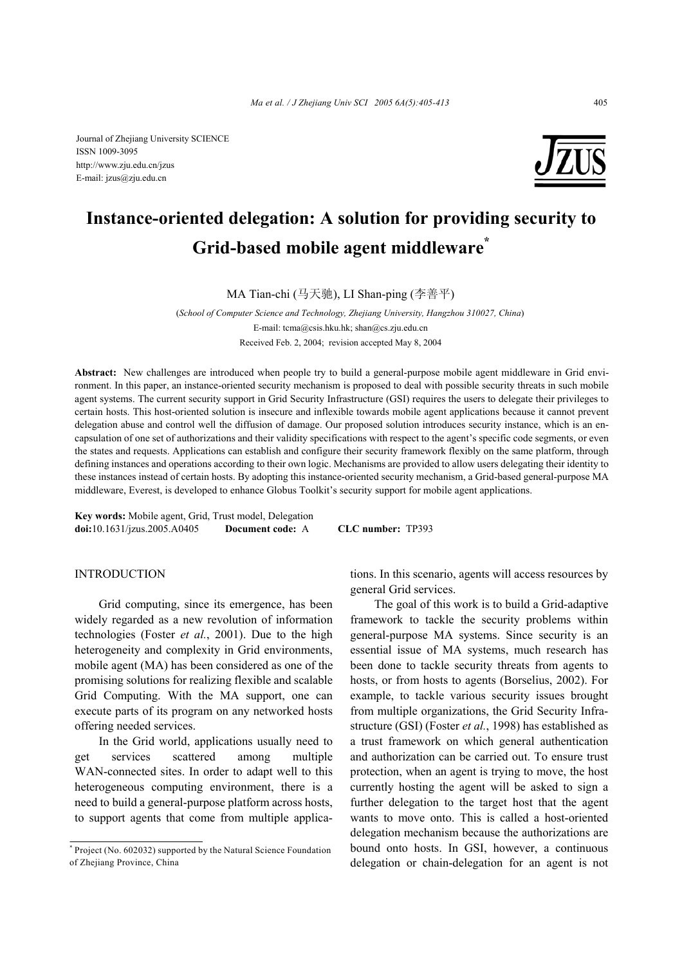Journal of Zhejiang University SCIENCE ISSN 1009-3095 http://www.zju.edu.cn/jzus E-mail: jzus@zju.edu.cn



# **Instance-oriented delegation: A solution for providing security to Grid-based mobile agent middleware\***

MA Tian-chi (马天驰), LI Shan-ping (李善平)

(*School of Computer Science and Technology, Zhejiang University, Hangzhou 310027, China*) E-mail: tcma@csis.hku.hk; shan@cs.zju.edu.cn Received Feb. 2, 2004; revision accepted May 8, 2004

**Abstract:** New challenges are introduced when people try to build a general-purpose mobile agent middleware in Grid environment. In this paper, an instance-oriented security mechanism is proposed to deal with possible security threats in such mobile agent systems. The current security support in Grid Security Infrastructure (GSI) requires the users to delegate their privileges to certain hosts. This host-oriented solution is insecure and inflexible towards mobile agent applications because it cannot prevent delegation abuse and control well the diffusion of damage. Our proposed solution introduces security instance, which is an encapsulation of one set of authorizations and their validity specifications with respect to the agent's specific code segments, or even the states and requests. Applications can establish and configure their security framework flexibly on the same platform, through defining instances and operations according to their own logic. Mechanisms are provided to allow users delegating their identity to these instances instead of certain hosts. By adopting this instance-oriented security mechanism, a Grid-based general-purpose MA middleware, Everest, is developed to enhance Globus Toolkit's security support for mobile agent applications.

**Key words:** Mobile agent, Grid, Trust model, Delegation **doi:**10.1631/jzus.2005.A0405 **Document code:** A **CLC number:** TP393

# INTRODUCTION

Grid computing, since its emergence, has been widely regarded as a new revolution of information technologies (Foster *et al.*, 2001). Due to the high heterogeneity and complexity in Grid environments, mobile agent (MA) has been considered as one of the promising solutions for realizing flexible and scalable Grid Computing. With the MA support, one can execute parts of its program on any networked hosts offering needed services.

In the Grid world, applications usually need to get services scattered among multiple WAN-connected sites. In order to adapt well to this heterogeneous computing environment, there is a need to build a general-purpose platform across hosts, to support agents that come from multiple applications. In this scenario, agents will access resources by general Grid services.

The goal of this work is to build a Grid-adaptive framework to tackle the security problems within general-purpose MA systems. Since security is an essential issue of MA systems, much research has been done to tackle security threats from agents to hosts, or from hosts to agents (Borselius, 2002). For example, to tackle various security issues brought from multiple organizations, the Grid Security Infrastructure (GSI) (Foster *et al.*, 1998) has established as a trust framework on which general authentication and authorization can be carried out. To ensure trust protection, when an agent is trying to move, the host currently hosting the agent will be asked to sign a further delegation to the target host that the agent wants to move onto. This is called a host-oriented delegation mechanism because the authorizations are bound onto hosts. In GSI, however, a continuous delegation or chain-delegation for an agent is not

<sup>\*</sup> Project (No. 602032) supported by the Natural Science Foundation of Zheijang Province, China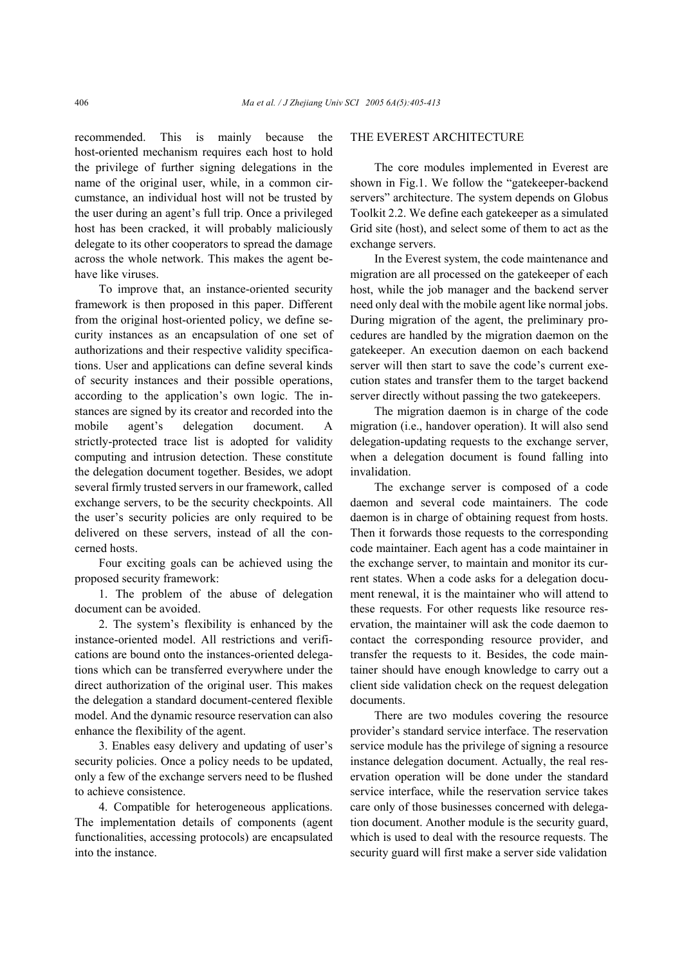recommended. This is mainly because the host-oriented mechanism requires each host to hold the privilege of further signing delegations in the name of the original user, while, in a common circumstance, an individual host will not be trusted by the user during an agent's full trip. Once a privileged host has been cracked, it will probably maliciously delegate to its other cooperators to spread the damage across the whole network. This makes the agent behave like viruses.

To improve that, an instance-oriented security framework is then proposed in this paper. Different from the original host-oriented policy, we define security instances as an encapsulation of one set of authorizations and their respective validity specifications. User and applications can define several kinds of security instances and their possible operations, according to the application's own logic. The instances are signed by its creator and recorded into the mobile agent's delegation document. A strictly-protected trace list is adopted for validity computing and intrusion detection. These constitute the delegation document together. Besides, we adopt several firmly trusted servers in our framework, called exchange servers, to be the security checkpoints. All the user's security policies are only required to be delivered on these servers, instead of all the concerned hosts.

Four exciting goals can be achieved using the proposed security framework:

1. The problem of the abuse of delegation document can be avoided.

2. The system's flexibility is enhanced by the instance-oriented model. All restrictions and verifications are bound onto the instances-oriented delegations which can be transferred everywhere under the direct authorization of the original user. This makes the delegation a standard document-centered flexible model. And the dynamic resource reservation can also enhance the flexibility of the agent.

3. Enables easy delivery and updating of user's security policies. Once a policy needs to be updated, only a few of the exchange servers need to be flushed to achieve consistence.

4. Compatible for heterogeneous applications. The implementation details of components (agent functionalities, accessing protocols) are encapsulated into the instance.

## THE EVEREST ARCHITECTURE

The core modules implemented in Everest are shown in Fig.1. We follow the "gatekeeper-backend servers" architecture. The system depends on Globus Toolkit 2.2. We define each gatekeeper as a simulated Grid site (host), and select some of them to act as the exchange servers.

In the Everest system, the code maintenance and migration are all processed on the gatekeeper of each host, while the job manager and the backend server need only deal with the mobile agent like normal jobs. During migration of the agent, the preliminary procedures are handled by the migration daemon on the gatekeeper. An execution daemon on each backend server will then start to save the code's current execution states and transfer them to the target backend server directly without passing the two gatekeepers.

The migration daemon is in charge of the code migration (i.e., handover operation). It will also send delegation-updating requests to the exchange server, when a delegation document is found falling into invalidation.

The exchange server is composed of a code daemon and several code maintainers. The code daemon is in charge of obtaining request from hosts. Then it forwards those requests to the corresponding code maintainer. Each agent has a code maintainer in the exchange server, to maintain and monitor its current states. When a code asks for a delegation document renewal, it is the maintainer who will attend to these requests. For other requests like resource reservation, the maintainer will ask the code daemon to contact the corresponding resource provider, and transfer the requests to it. Besides, the code maintainer should have enough knowledge to carry out a client side validation check on the request delegation documents.

There are two modules covering the resource provider's standard service interface. The reservation service module has the privilege of signing a resource instance delegation document. Actually, the real reservation operation will be done under the standard service interface, while the reservation service takes care only of those businesses concerned with delegation document. Another module is the security guard, which is used to deal with the resource requests. The security guard will first make a server side validation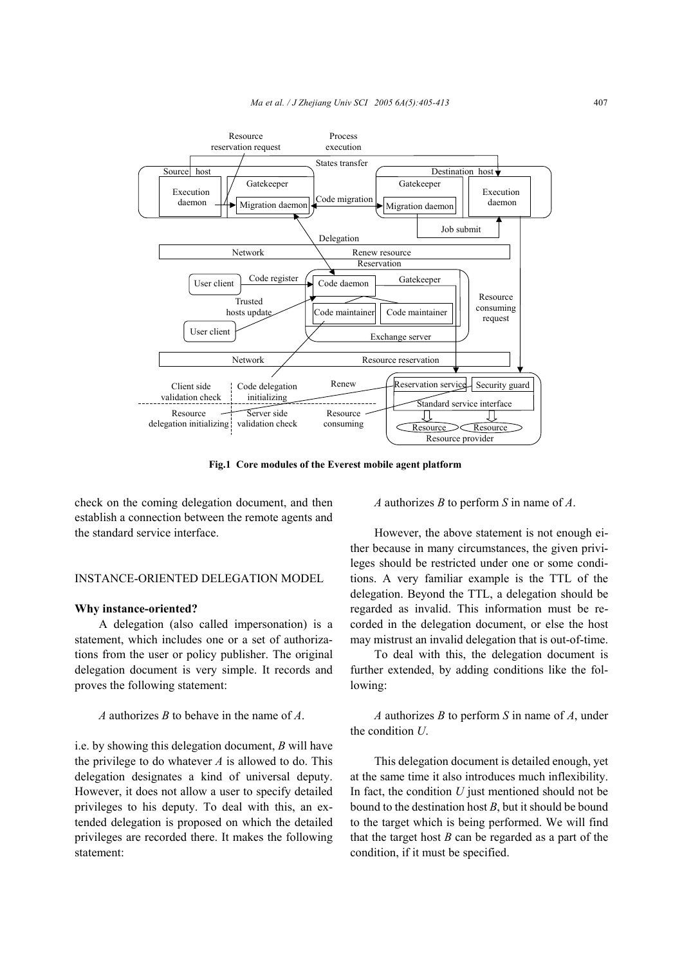

**Fig.1 Core modules of the Everest mobile agent platform**

check on the coming delegation document, and then establish a connection between the remote agents and the standard service interface.

#### INSTANCE-ORIENTED DELEGATION MODEL

## **Why instance-oriented?**

A delegation (also called impersonation) is a statement, which includes one or a set of authorizations from the user or policy publisher. The original delegation document is very simple. It records and proves the following statement:

*A* authorizes *B* to behave in the name of *A*.

i.e. by showing this delegation document, *B* will have the privilege to do whatever *A* is allowed to do. This delegation designates a kind of universal deputy. However, it does not allow a user to specify detailed privileges to his deputy. To deal with this, an extended delegation is proposed on which the detailed privileges are recorded there. It makes the following statement:

*A* authorizes *B* to perform *S* in name of *A*.

However, the above statement is not enough either because in many circumstances, the given privileges should be restricted under one or some conditions. A very familiar example is the TTL of the delegation. Beyond the TTL, a delegation should be regarded as invalid. This information must be recorded in the delegation document, or else the host may mistrust an invalid delegation that is out-of-time.

To deal with this, the delegation document is further extended, by adding conditions like the following:

*A* authorizes *B* to perform *S* in name of *A*, under the condition *U*.

This delegation document is detailed enough, yet at the same time it also introduces much inflexibility. In fact, the condition *U* just mentioned should not be bound to the destination host *B*, but it should be bound to the target which is being performed. We will find that the target host *B* can be regarded as a part of the condition, if it must be specified.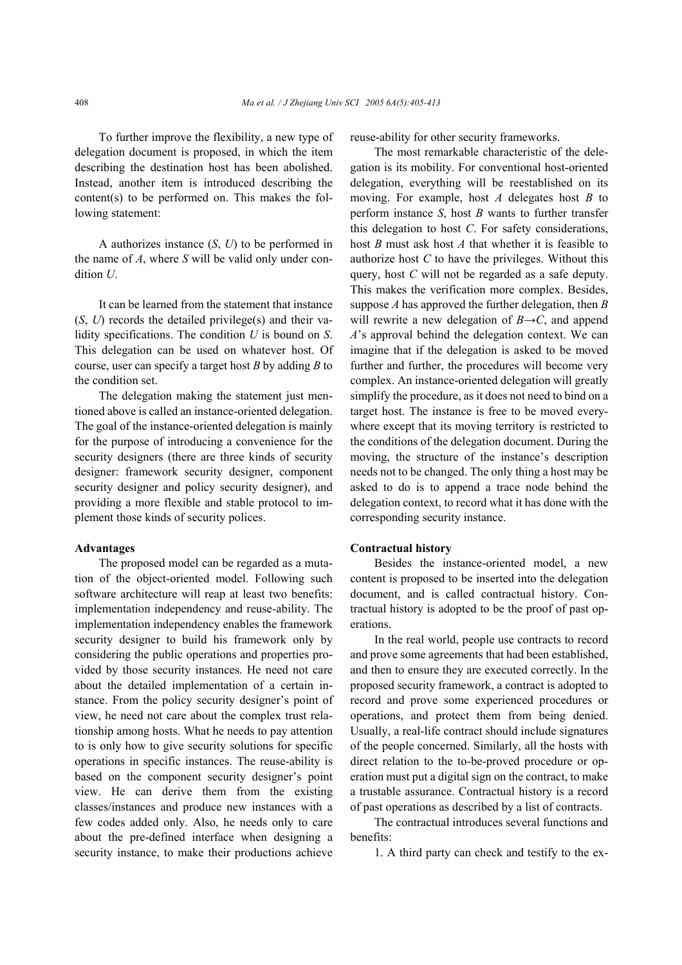To further improve the flexibility, a new type of delegation document is proposed, in which the item describing the destination host has been abolished. Instead, another item is introduced describing the content(s) to be performed on. This makes the following statement:

A authorizes instance (*S*, *U*) to be performed in the name of *A*, where *S* will be valid only under condition *U*.

It can be learned from the statement that instance (*S*, *U*) records the detailed privilege(s) and their validity specifications. The condition *U* is bound on *S*. This delegation can be used on whatever host. Of course, user can specify a target host *B* by adding *B* to the condition set.

The delegation making the statement just mentioned above is called an instance-oriented delegation. The goal of the instance-oriented delegation is mainly for the purpose of introducing a convenience for the security designers (there are three kinds of security designer: framework security designer, component security designer and policy security designer), and providing a more flexible and stable protocol to implement those kinds of security polices.

#### **Advantages**

The proposed model can be regarded as a mutation of the object-oriented model. Following such software architecture will reap at least two benefits: implementation independency and reuse-ability. The implementation independency enables the framework security designer to build his framework only by considering the public operations and properties provided by those security instances. He need not care about the detailed implementation of a certain instance. From the policy security designer's point of view, he need not care about the complex trust relationship among hosts. What he needs to pay attention to is only how to give security solutions for specific operations in specific instances. The reuse-ability is based on the component security designer's point view. He can derive them from the existing classes/instances and produce new instances with a few codes added only. Also, he needs only to care about the pre-defined interface when designing a security instance, to make their productions achieve reuse-ability for other security frameworks.

The most remarkable characteristic of the delegation is its mobility. For conventional host-oriented delegation, everything will be reestablished on its moving. For example, host *A* delegates host *B* to perform instance *S*, host *B* wants to further transfer this delegation to host *C*. For safety considerations, host *B* must ask host *A* that whether it is feasible to authorize host *C* to have the privileges. Without this query, host *C* will not be regarded as a safe deputy. This makes the verification more complex. Besides, suppose *A* has approved the further delegation, then *B* will rewrite a new delegation of  $B\rightarrow C$ , and append *A*'s approval behind the delegation context. We can imagine that if the delegation is asked to be moved further and further, the procedures will become very complex. An instance-oriented delegation will greatly simplify the procedure, as it does not need to bind on a target host. The instance is free to be moved everywhere except that its moving territory is restricted to the conditions of the delegation document. During the moving, the structure of the instance's description needs not to be changed. The only thing a host may be asked to do is to append a trace node behind the delegation context, to record what it has done with the corresponding security instance.

## **Contractual history**

Besides the instance-oriented model, a new content is proposed to be inserted into the delegation document, and is called contractual history. Contractual history is adopted to be the proof of past operations.

In the real world, people use contracts to record and prove some agreements that had been established, and then to ensure they are executed correctly. In the proposed security framework, a contract is adopted to record and prove some experienced procedures or operations, and protect them from being denied. Usually, a real-life contract should include signatures of the people concerned. Similarly, all the hosts with direct relation to the to-be-proved procedure or operation must put a digital sign on the contract, to make a trustable assurance. Contractual history is a record of past operations as described by a list of contracts.

The contractual introduces several functions and benefits:

1. A third party can check and testify to the ex-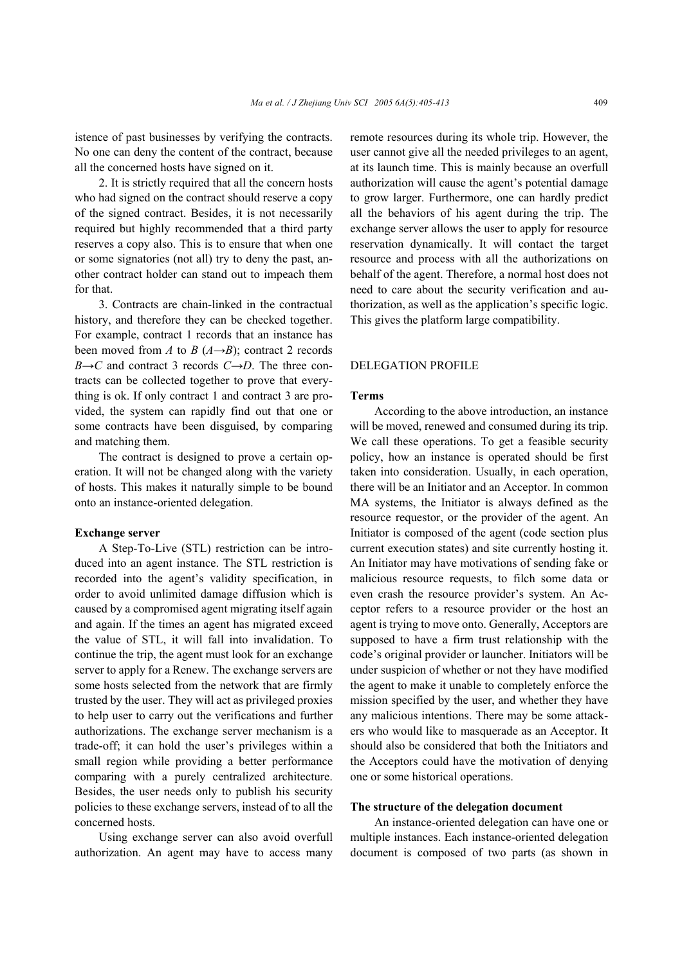istence of past businesses by verifying the contracts. No one can deny the content of the contract, because all the concerned hosts have signed on it.

2. It is strictly required that all the concern hosts who had signed on the contract should reserve a copy of the signed contract. Besides, it is not necessarily required but highly recommended that a third party reserves a copy also. This is to ensure that when one or some signatories (not all) try to deny the past, another contract holder can stand out to impeach them for that.

3. Contracts are chain-linked in the contractual history, and therefore they can be checked together. For example, contract 1 records that an instance has been moved from *A* to *B* ( $A \rightarrow B$ ); contract 2 records  $B \rightarrow C$  and contract 3 records  $C \rightarrow D$ . The three contracts can be collected together to prove that everything is ok. If only contract 1 and contract 3 are provided, the system can rapidly find out that one or some contracts have been disguised, by comparing and matching them.

The contract is designed to prove a certain operation. It will not be changed along with the variety of hosts. This makes it naturally simple to be bound onto an instance-oriented delegation.

#### **Exchange server**

A Step-To-Live (STL) restriction can be introduced into an agent instance. The STL restriction is recorded into the agent's validity specification, in order to avoid unlimited damage diffusion which is caused by a compromised agent migrating itself again and again. If the times an agent has migrated exceed the value of STL, it will fall into invalidation. To continue the trip, the agent must look for an exchange server to apply for a Renew. The exchange servers are some hosts selected from the network that are firmly trusted by the user. They will act as privileged proxies to help user to carry out the verifications and further authorizations. The exchange server mechanism is a trade-off; it can hold the user's privileges within a small region while providing a better performance comparing with a purely centralized architecture. Besides, the user needs only to publish his security policies to these exchange servers, instead of to all the concerned hosts.

Using exchange server can also avoid overfull authorization. An agent may have to access many remote resources during its whole trip. However, the user cannot give all the needed privileges to an agent, at its launch time. This is mainly because an overfull authorization will cause the agent's potential damage to grow larger. Furthermore, one can hardly predict all the behaviors of his agent during the trip. The exchange server allows the user to apply for resource reservation dynamically. It will contact the target resource and process with all the authorizations on behalf of the agent. Therefore, a normal host does not need to care about the security verification and authorization, as well as the application's specific logic. This gives the platform large compatibility.

## DELEGATION PROFILE

### **Terms**

According to the above introduction, an instance will be moved, renewed and consumed during its trip. We call these operations. To get a feasible security policy, how an instance is operated should be first taken into consideration. Usually, in each operation, there will be an Initiator and an Acceptor. In common MA systems, the Initiator is always defined as the resource requestor, or the provider of the agent. An Initiator is composed of the agent (code section plus current execution states) and site currently hosting it. An Initiator may have motivations of sending fake or malicious resource requests, to filch some data or even crash the resource provider's system. An Acceptor refers to a resource provider or the host an agent is trying to move onto. Generally, Acceptors are supposed to have a firm trust relationship with the code's original provider or launcher. Initiators will be under suspicion of whether or not they have modified the agent to make it unable to completely enforce the mission specified by the user, and whether they have any malicious intentions. There may be some attackers who would like to masquerade as an Acceptor. It should also be considered that both the Initiators and the Acceptors could have the motivation of denying one or some historical operations.

## **The structure of the delegation document**

An instance-oriented delegation can have one or multiple instances. Each instance-oriented delegation document is composed of two parts (as shown in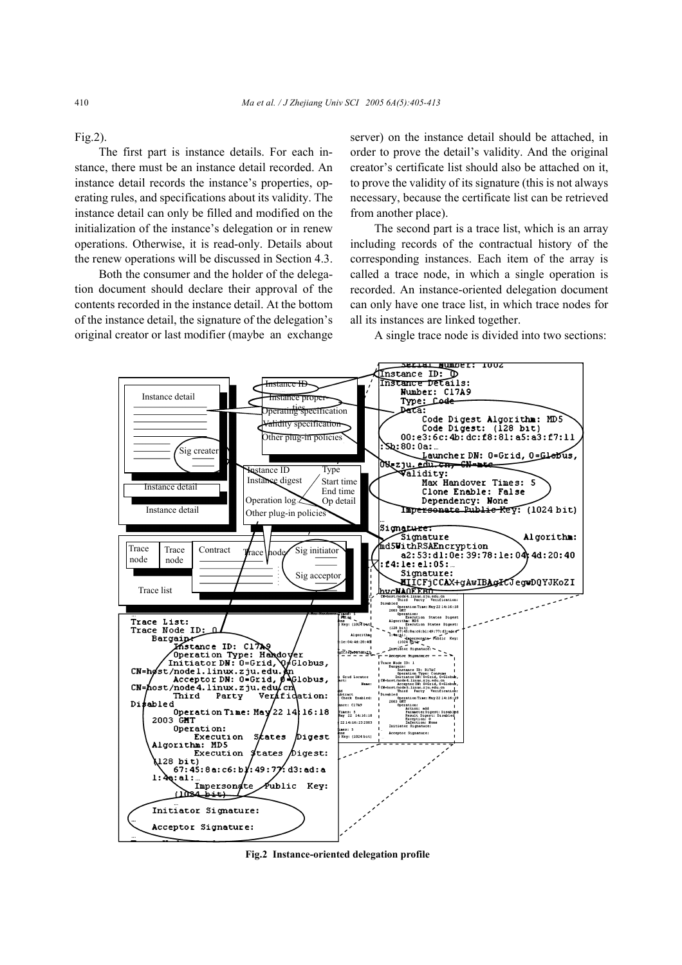Fig.2).

The first part is instance details. For each instance, there must be an instance detail recorded. An instance detail records the instance's properties, operating rules, and specifications about its validity. The instance detail can only be filled and modified on the initialization of the instance's delegation or in renew operations. Otherwise, it is read-only. Details about the renew operations will be discussed in Section 4.3.

Both the consumer and the holder of the delegation document should declare their approval of the contents recorded in the instance detail. At the bottom of the instance detail, the signature of the delegation's original creator or last modifier (maybe an exchange server) on the instance detail should be attached, in order to prove the detail's validity. And the original creator's certificate list should also be attached on it, to prove the validity of its signature (this is not always necessary, because the certificate list can be retrieved from another place).

The second part is a trace list, which is an array including records of the contractual history of the corresponding instances. Each item of the array is called a trace node, in which a single operation is recorded. An instance-oriented delegation document can only have one trace list, in which trace nodes for all its instances are linked together.

A single trace node is divided into two sections:



**Fig.2 Instance-oriented delegation profile**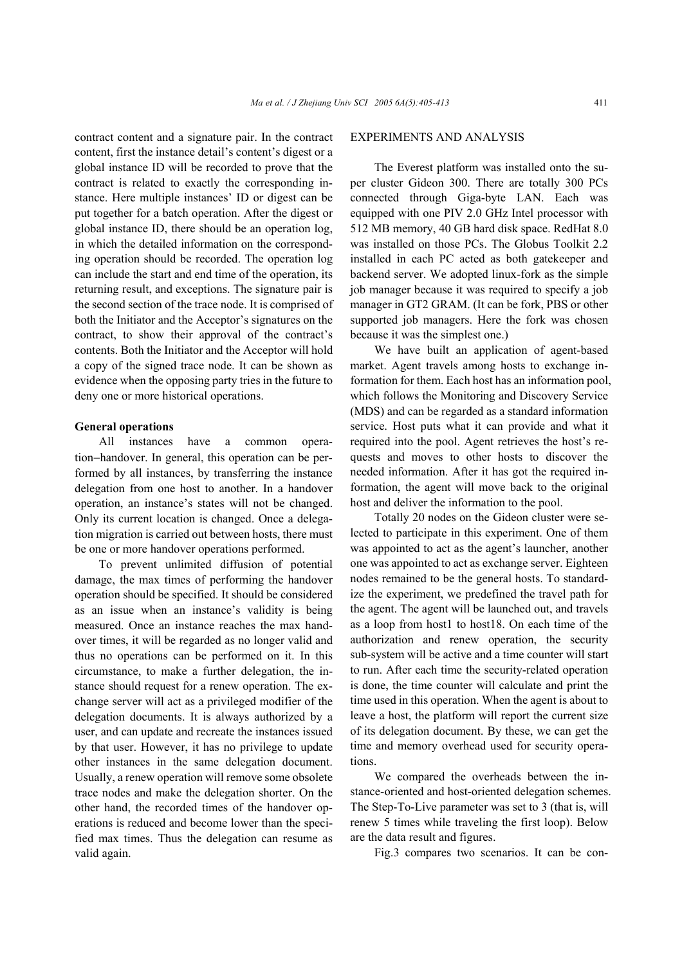contract content and a signature pair. In the contract content, first the instance detail's content's digest or a global instance ID will be recorded to prove that the contract is related to exactly the corresponding instance. Here multiple instances' ID or digest can be put together for a batch operation. After the digest or global instance ID, there should be an operation log, in which the detailed information on the corresponding operation should be recorded. The operation log can include the start and end time of the operation, its returning result, and exceptions. The signature pair is the second section of the trace node. It is comprised of both the Initiator and the Acceptor's signatures on the contract, to show their approval of the contract's contents. Both the Initiator and the Acceptor will hold a copy of the signed trace node. It can be shown as evidence when the opposing party tries in the future to deny one or more historical operations.

#### **General operations**

All instances have a common operation−handover. In general, this operation can be performed by all instances, by transferring the instance delegation from one host to another. In a handover operation, an instance's states will not be changed. Only its current location is changed. Once a delegation migration is carried out between hosts, there must be one or more handover operations performed.

To prevent unlimited diffusion of potential damage, the max times of performing the handover operation should be specified. It should be considered as an issue when an instance's validity is being measured. Once an instance reaches the max handover times, it will be regarded as no longer valid and thus no operations can be performed on it. In this circumstance, to make a further delegation, the instance should request for a renew operation. The exchange server will act as a privileged modifier of the delegation documents. It is always authorized by a user, and can update and recreate the instances issued by that user. However, it has no privilege to update other instances in the same delegation document. Usually, a renew operation will remove some obsolete trace nodes and make the delegation shorter. On the other hand, the recorded times of the handover operations is reduced and become lower than the specified max times. Thus the delegation can resume as valid again.

## EXPERIMENTS AND ANALYSIS

The Everest platform was installed onto the super cluster Gideon 300. There are totally 300 PCs connected through Giga-byte LAN. Each was equipped with one PIV 2.0 GHz Intel processor with 512 MB memory, 40 GB hard disk space. RedHat 8.0 was installed on those PCs. The Globus Toolkit 2.2 installed in each PC acted as both gatekeeper and backend server. We adopted linux-fork as the simple job manager because it was required to specify a job manager in GT2 GRAM. (It can be fork, PBS or other supported job managers. Here the fork was chosen because it was the simplest one.)

We have built an application of agent-based market. Agent travels among hosts to exchange information for them. Each host has an information pool, which follows the Monitoring and Discovery Service (MDS) and can be regarded as a standard information service. Host puts what it can provide and what it required into the pool. Agent retrieves the host's requests and moves to other hosts to discover the needed information. After it has got the required information, the agent will move back to the original host and deliver the information to the pool.

Totally 20 nodes on the Gideon cluster were selected to participate in this experiment. One of them was appointed to act as the agent's launcher, another one was appointed to act as exchange server. Eighteen nodes remained to be the general hosts. To standardize the experiment, we predefined the travel path for the agent. The agent will be launched out, and travels as a loop from host1 to host18. On each time of the authorization and renew operation, the security sub-system will be active and a time counter will start to run. After each time the security-related operation is done, the time counter will calculate and print the time used in this operation. When the agent is about to leave a host, the platform will report the current size of its delegation document. By these, we can get the time and memory overhead used for security operations.

We compared the overheads between the instance-oriented and host-oriented delegation schemes. The Step-To-Live parameter was set to 3 (that is, will renew 5 times while traveling the first loop). Below are the data result and figures.

Fig.3 compares two scenarios. It can be con-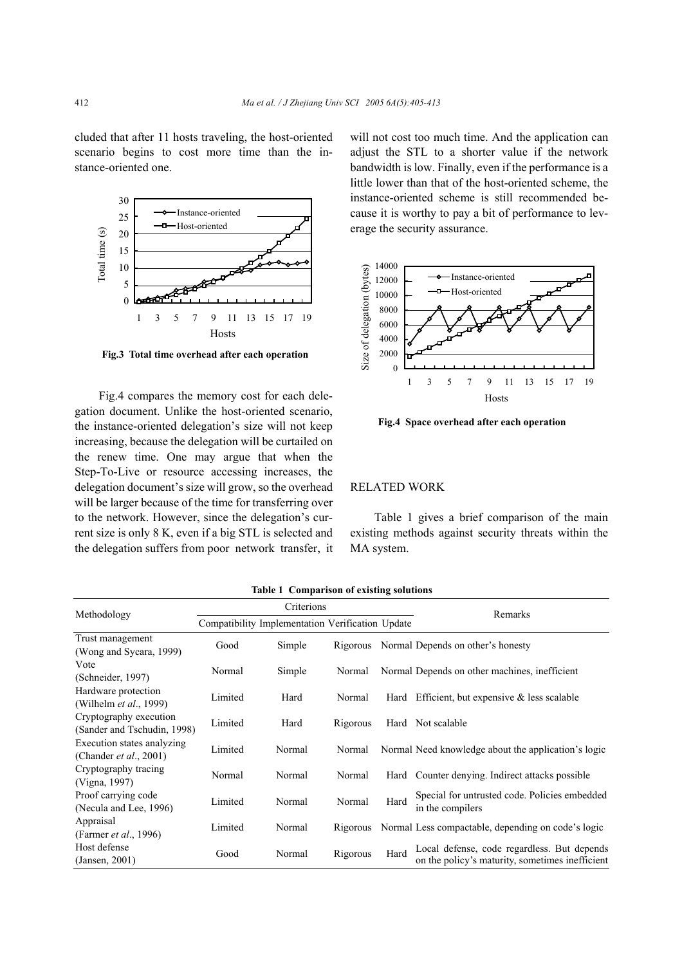cluded that after 11 hosts traveling, the host-oriented scenario begins to cost more time than the instance-oriented one.



**Fig.3 Total time overhead after each operation**

Fig.4 compares the memory cost for each delegation document. Unlike the host-oriented scenario, the instance-oriented delegation's size will not keep increasing, because the delegation will be curtailed on the renew time. One may argue that when the Step-To-Live or resource accessing increases, the delegation document's size will grow, so the overhead will be larger because of the time for transferring over to the network. However, since the delegation's current size is only 8 K, even if a big STL is selected and the delegation suffers from poor network transfer, it will not cost too much time. And the application can adjust the STL to a shorter value if the network bandwidth is low. Finally, even if the performance is a little lower than that of the host-oriented scheme, the instance-oriented scheme is still recommended because it is worthy to pay a bit of performance to leverage the security assurance.



**Fig.4 Space overhead after each operation**

# RELATED WORK

Table 1 gives a brief comparison of the main existing methods against security threats within the MA system.

| Methodology                                                  | Criterions |                                                  |          |      | Remarks                                                                                        |
|--------------------------------------------------------------|------------|--------------------------------------------------|----------|------|------------------------------------------------------------------------------------------------|
|                                                              |            | Compatibility Implementation Verification Update |          |      |                                                                                                |
| Trust management                                             | Good       | Simple                                           | Rigorous |      | Normal Depends on other's honesty                                                              |
| (Wong and Sycara, 1999)<br>Vote                              |            |                                                  |          |      |                                                                                                |
| (Schneider, 1997)                                            | Normal     | Simple                                           | Normal   |      | Normal Depends on other machines, inefficient                                                  |
| Hardware protection<br>(Wilhelm et al., 1999)                | Limited    | Hard                                             | Normal   | Hard | Efficient, but expensive $\&$ less scalable                                                    |
| Cryptography execution<br>(Sander and Tschudin, 1998)        | Limited    | Hard                                             | Rigorous |      | Hard Not scalable                                                                              |
| Execution states analyzing<br>(Chander <i>et al.</i> , 2001) | Limited    | Normal                                           | Normal   |      | Normal Need knowledge about the application's logic                                            |
| Cryptography tracing<br>(Vigna, 1997)                        | Normal     | Normal                                           | Normal   |      | Hard Counter denying. Indirect attacks possible                                                |
| Proof carrying code<br>(Necula and Lee, 1996)                | Limited    | Normal                                           | Normal   | Hard | Special for untrusted code. Policies embedded<br>in the compilers                              |
| Appraisal<br>(Farmer <i>et al.</i> , 1996)                   | Limited    | Normal                                           | Rigorous |      | Normal Less compactable, depending on code's logic                                             |
| Host defense<br>(Jansen, 2001)                               | Good       | Normal                                           | Rigorous | Hard | Local defense, code regardless. But depends<br>on the policy's maturity, sometimes inefficient |

**Table 1 Comparison of existing solutions**